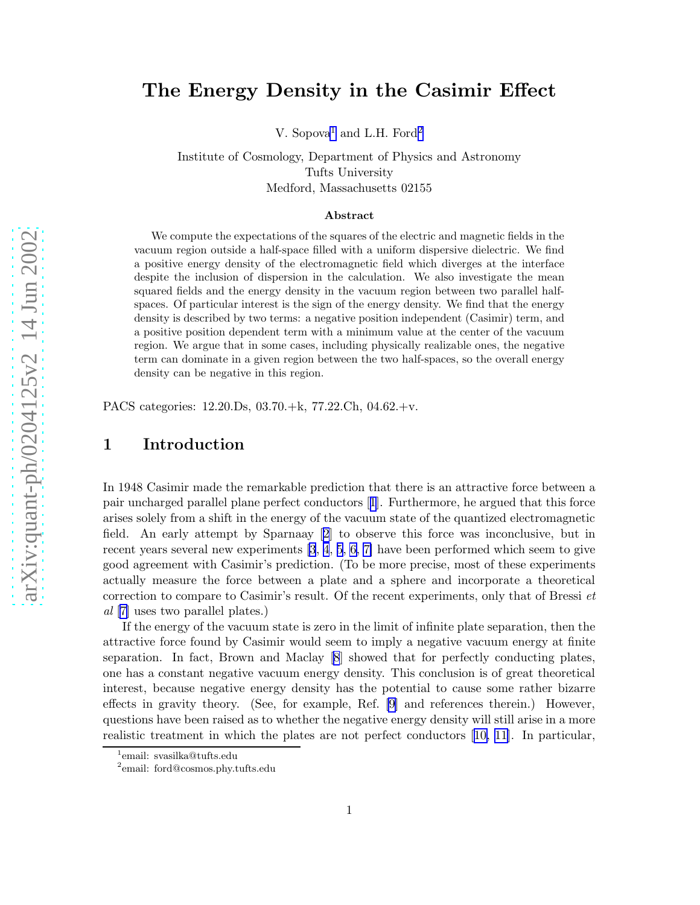# The Energy Density in the Casimir Effect

V. Sopova<sup>1</sup> and L.H. Ford<sup>2</sup>

Institute of Cosmology, Department of Physics and Astronomy Tufts University Medford, Massachusetts 02155

#### Abstract

We compute the expectations of the squares of the electric and magnetic fields in the vacuum region outside a half-space filled with a uniform dispersive dielectric. We find a positive energy density of the electromagnetic field which diverges at the interface despite the inclusion of dispersion in the calculation. We also investigate the mean squared fields and the energy density in the vacuum region between two parallel halfspaces. Of particular interest is the sign of the energy density. We find that the energy density is described by two terms: a negative position independent (Casimir) term, and a positive position dependent term with a minimum value at the center of the vacuum region. We argue that in some cases, including physically realizable ones, the negative term can dominate in a given region between the two half-spaces, so the overall energy density can be negative in this region.

PACS categories: 12.20.Ds, 03.70.+k, 77.22.Ch, 04.62.+v.

### 1 Introduction

In 1948 Casimir made the remarkable prediction that there is an attractive force between a pair uncharged parallel plane perfect conductors[[1](#page-15-0)]. Furthermore, he argued that this force arises solely from a shift in the energy of the vacuum state of the quantized electromagnetic field. An early attempt by Sparnaay[[2](#page-15-0)] to observe this force was inconclusive, but in recent years several new experiments [\[3](#page-15-0), [4](#page-15-0), [5](#page-15-0), [6, 7\]](#page-15-0) have been performed which seem to give good agreement with Casimir's prediction. (To be more precise, most of these experiments actually measure the force between a plate and a sphere and incorporate a theoretical correction to compare to Casimir's result. Of the recent experiments, only that of Bressi  $et$ al [\[7\]](#page-15-0) uses two parallel plates.)

If the energy of the vacuum state is zero in the limit of infinite plate separation, then the attractive force found by Casimir would seem to imply a negative vacuum energy at finite separation. In fact, Brown and Maclay[[8](#page-15-0)] showed that for perfectly conducting plates, one has a constant negative vacuum energy density. This conclusion is of great theoretical interest, because negative energy density has the potential to cause some rather bizarre effects in gravity theory. (See, for example, Ref. [\[9\]](#page-15-0) and references therein.) However, questions have been raised as to whether the negative energy density will still arise in a more realistic treatment in which the plates are not perfect conductors[[10, 11\]](#page-15-0). In particular,

<sup>1</sup> email: svasilka@tufts.edu

<sup>2</sup> email: ford@cosmos.phy.tufts.edu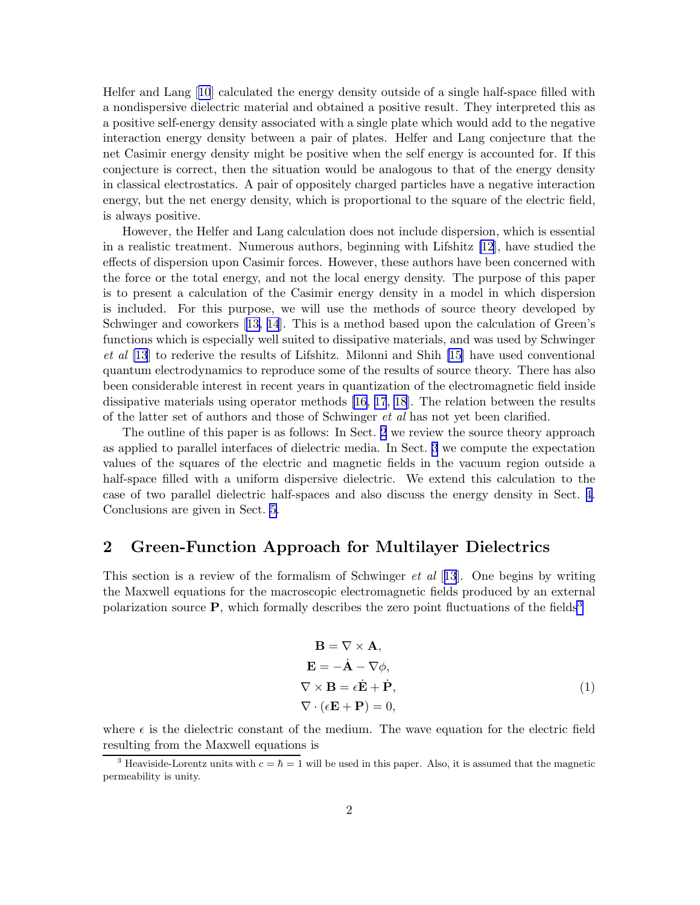Helfer and Lang[[10](#page-15-0)] calculated the energy density outside of a single half-space filled with a nondispersive dielectric material and obtained a positive result. They interpreted this as a positive self-energy density associated with a single plate which would add to the negative interaction energy density between a pair of plates. Helfer and Lang conjecture that the net Casimir energy density might be positive when the self energy is accounted for. If this conjecture is correct, then the situation would be analogous to that of the energy density in classical electrostatics. A pair of oppositely charged particles have a negative interaction energy, but the net energy density, which is proportional to the square of the electric field, is always positive.

However, the Helfer and Lang calculation does not include dispersion, which is essential in a realistic treatment. Numerous authors, beginning with Lifshitz [\[12](#page-15-0)], have studied the effects of dispersion upon Casimir forces. However, these authors have been concerned with the force or the total energy, and not the local energy density. The purpose of this paper is to present a calculation of the Casimir energy density in a model in which dispersion is included. For this purpose, we will use the methods of source theory developed by Schwinger and coworkers[[13, 14](#page-15-0)]. This is a method based upon the calculation of Green's functions which is especially well suited to dissipative materials, and was used by Schwinger et al [\[13](#page-15-0)] to rederive the results of Lifshitz. Milonni and Shih [\[15\]](#page-15-0) have used conventional quantum electrodynamics to reproduce some of the results of source theory. There has also been considerable interest in recent years in quantization of the electromagnetic field inside dissipative materials using operator methods [\[16, 17](#page-15-0), [18](#page-15-0)]. The relation between the results of the latter set of authors and those of Schwinger et al has not yet been clarified.

The outline of this paper is as follows: In Sect. 2 we review the source theory approach as applied to parallel interfaces of dielectric media. In Sect. [3](#page-3-0) we compute the expectation values of the squares of the electric and magnetic fields in the vacuum region outside a half-space filled with a uniform dispersive dielectric. We extend this calculation to the case of two parallel dielectric half-spaces and also discuss the energy density in Sect. [4.](#page-9-0) Conclusions are given in Sect. [5.](#page-14-0)

### 2 Green-Function Approach for Multilayer Dielectrics

This section is a review of the formalism of Schwinger *et al* [[13](#page-15-0)]. One begins by writing the Maxwell equations for the macroscopic electromagnetic fields produced by an external polarization source  $\bf{P}$ , which formally describes the zero point fluctuations of the fields<sup>3</sup>

$$
\mathbf{B} = \nabla \times \mathbf{A},
$$
  
\n
$$
\mathbf{E} = -\dot{\mathbf{A}} - \nabla \phi,
$$
  
\n
$$
\nabla \times \mathbf{B} = \epsilon \dot{\mathbf{E}} + \dot{\mathbf{P}},
$$
  
\n
$$
\nabla \cdot (\epsilon \mathbf{E} + \mathbf{P}) = 0,
$$
\n(1)

where  $\epsilon$  is the dielectric constant of the medium. The wave equation for the electric field resulting from the Maxwell equations is

<sup>&</sup>lt;sup>3</sup> Heaviside-Lorentz units with  $c = \hbar = 1$  will be used in this paper. Also, it is assumed that the magnetic permeability is unity.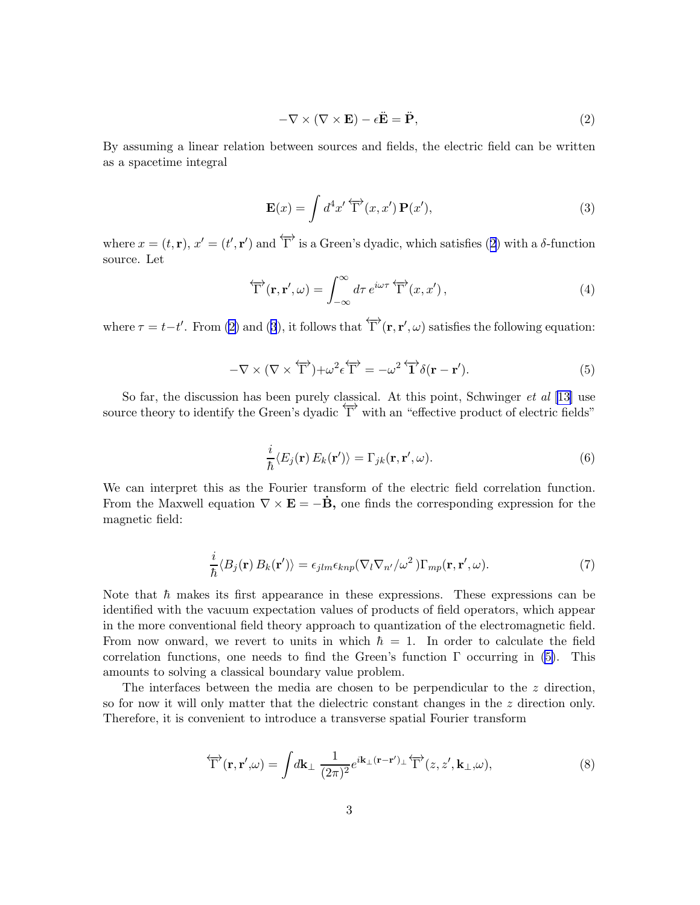$$
-\nabla \times (\nabla \times \mathbf{E}) - \epsilon \ddot{\mathbf{E}} = \ddot{\mathbf{P}},
$$
\n(2)

<span id="page-2-0"></span>By assuming a linear relation between sources and fields, the electric field can be written as a spacetime integral

$$
\mathbf{E}(x) = \int d^4x' \overleftrightarrow{\Gamma}(x, x') \mathbf{P}(x'), \tag{3}
$$

where  $x = (t, \mathbf{r}), x' = (t', \mathbf{r}')$  and  $\overleftrightarrow{\Gamma}$  is a Green's dyadic, which satisfies (2) with a  $\delta$ -function source. Let

$$
\overleftrightarrow{\Gamma}(\mathbf{r}, \mathbf{r}', \omega) = \int_{-\infty}^{\infty} d\tau \, e^{i\omega\tau} \overleftrightarrow{\Gamma}(\mathbf{x}, \mathbf{x}'), \tag{4}
$$

where  $\tau = t - t'$ . From (2) and (3), it follows that  $\overleftrightarrow{\Gamma}(\mathbf{r}, \mathbf{r}', \omega)$  satisfies the following equation:

$$
-\nabla \times (\nabla \times \overleftrightarrow{\Gamma}) + \omega^2 \epsilon \overleftrightarrow{\Gamma} = -\omega^2 \overleftrightarrow{\Gamma} \delta(\mathbf{r} - \mathbf{r}'). \tag{5}
$$

So far, the discussion has been purely classical. At this point, Schwinger  $et \ al$  [[13\]](#page-15-0) use source theory to identify the Green's dyadic  $\overleftrightarrow{\Gamma}$  with an "effective product of electric fields"

$$
\frac{i}{\hbar} \langle E_j(\mathbf{r}) E_k(\mathbf{r}') \rangle = \Gamma_{jk}(\mathbf{r}, \mathbf{r}', \omega).
$$
 (6)

We can interpret this as the Fourier transform of the electric field correlation function. From the Maxwell equation  $\nabla \times \mathbf{E} = -\dot{\mathbf{B}}$ , one finds the corresponding expression for the magnetic field:

$$
\frac{i}{\hbar} \langle B_j(\mathbf{r}) B_k(\mathbf{r}') \rangle = \epsilon_{jlm} \epsilon_{knp} (\nabla_l \nabla_{n'} / \omega^2) \Gamma_{mp}(\mathbf{r}, \mathbf{r}', \omega).
$$
\n(7)

Note that  $\hbar$  makes its first appearance in these expressions. These expressions can be identified with the vacuum expectation values of products of field operators, which appear in the more conventional field theory approach to quantization of the electromagnetic field. From now onward, we revert to units in which  $\hbar = 1$ . In order to calculate the field correlation functions, one needs to find the Green's function  $\Gamma$  occurring in (5). This amounts to solving a classical boundary value problem.

The interfaces between the media are chosen to be perpendicular to the  $z$  direction, so for now it will only matter that the dielectric constant changes in the z direction only. Therefore, it is convenient to introduce a transverse spatial Fourier transform

$$
\overleftrightarrow{\Gamma}(\mathbf{r}, \mathbf{r}', \omega) = \int d\mathbf{k}_{\perp} \frac{1}{(2\pi)^2} e^{i\mathbf{k}_{\perp}(\mathbf{r} - \mathbf{r}')_{\perp}} \overleftrightarrow{\Gamma}^{\prime}(z, z', \mathbf{k}_{\perp}, \omega), \tag{8}
$$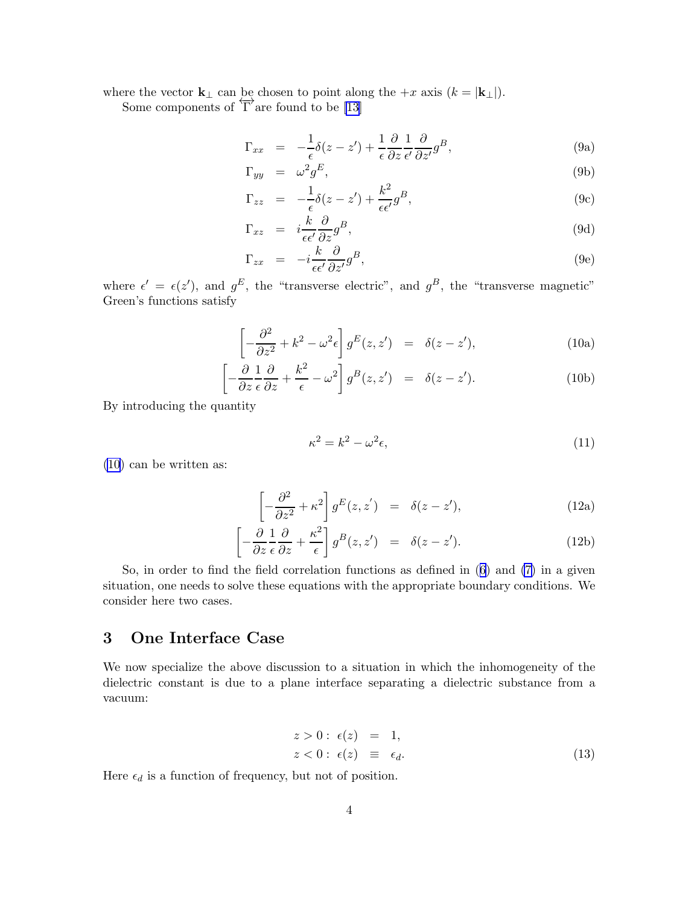<span id="page-3-0"></span>where the vector  $\mathbf{k}_{\perp}$  can be chosen to point along the  $+x$  axis  $(k = |\mathbf{k}_{\perp}|)$ .

Some components of  $\overleftrightarrow{\Gamma}$  are found to be [\[13](#page-15-0)]

$$
\Gamma_{xx} = -\frac{1}{\epsilon}\delta(z - z') + \frac{1}{\epsilon}\frac{\partial}{\partial z}\frac{1}{\epsilon'}\frac{\partial}{\partial z'}g^B,
$$
\n(9a)

$$
\Gamma_{yy} = \omega^2 g^E, \tag{9b}
$$

$$
\Gamma_{zz} = -\frac{1}{\epsilon}\delta(z - z') + \frac{k^2}{\epsilon \epsilon'}g^B,
$$
\n(9c)

$$
\Gamma_{xz} = i \frac{k}{\epsilon \epsilon'} \frac{\partial}{\partial z} g^B, \tag{9d}
$$

$$
\Gamma_{zx} = -i \frac{k}{\epsilon \epsilon'} \frac{\partial}{\partial z'} g^B, \tag{9e}
$$

where  $\epsilon' = \epsilon(z')$ , and  $g^E$ , the "transverse electric", and  $g^B$ , the "transverse magnetic" Green's functions satisfy

$$
\left[ -\frac{\partial^2}{\partial z^2} + k^2 - \omega^2 \epsilon \right] g^E(z, z') = \delta(z - z'), \tag{10a}
$$

$$
\left[ -\frac{\partial}{\partial z} \frac{1}{\epsilon} \frac{\partial}{\partial z} + \frac{k^2}{\epsilon} - \omega^2 \right] g^B(z, z') = \delta(z - z'). \tag{10b}
$$

By introducing the quantity

$$
\kappa^2 = k^2 - \omega^2 \epsilon,\tag{11}
$$

(10) can be written as:

$$
\left[ -\frac{\partial^2}{\partial z^2} + \kappa^2 \right] g^E(z, z') = \delta(z - z'), \tag{12a}
$$

$$
\left[ -\frac{\partial}{\partial z} \frac{1}{\epsilon} \frac{\partial}{\partial z} + \frac{\kappa^2}{\epsilon} \right] g^B(z, z') = \delta(z - z'). \tag{12b}
$$

So, in order to find the field correlation functions as defined in([6](#page-2-0)) and [\(7\)](#page-2-0) in a given situation, one needs to solve these equations with the appropriate boundary conditions. We consider here two cases.

## 3 One Interface Case

We now specialize the above discussion to a situation in which the inhomogeneity of the dielectric constant is due to a plane interface separating a dielectric substance from a vacuum:

$$
z > 0: \epsilon(z) = 1,
$$
  
\n
$$
z < 0: \epsilon(z) \equiv \epsilon_d.
$$
\n(13)

Here  $\epsilon_d$  is a function of frequency, but not of position.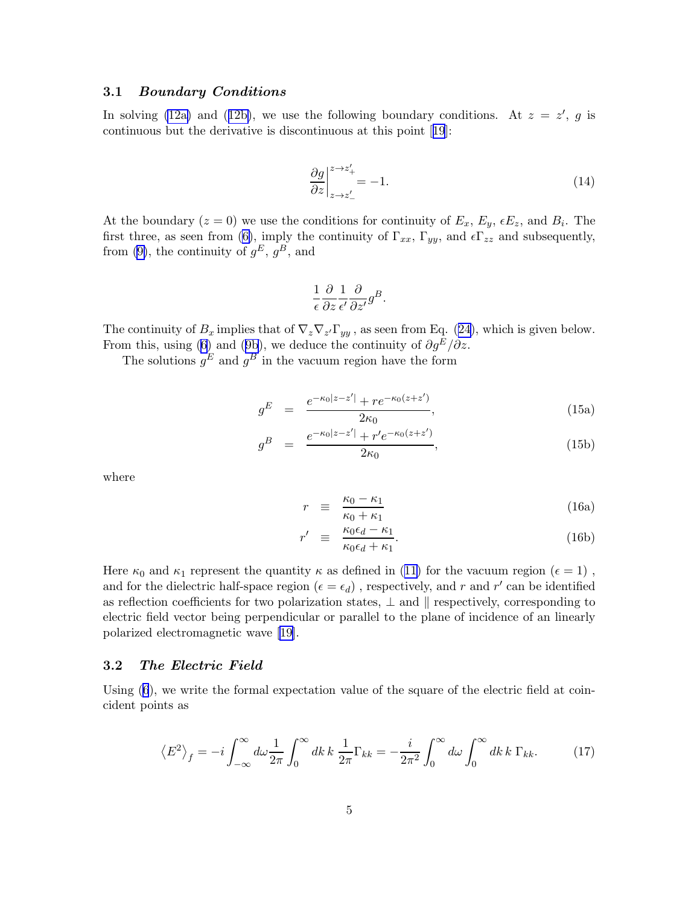#### <span id="page-4-0"></span>3.1 Boundary Conditions

In solving [\(12a\)](#page-3-0)and ([12b\)](#page-3-0), we use the following boundary conditions. At  $z = z'$ , g is continuous but the derivative is discontinuous at this point[[19](#page-16-0)]:

$$
\frac{\partial g}{\partial z}\Big|_{z \to z'_-}^{z \to z'_+} = -1. \tag{14}
$$

At the boundary  $(z = 0)$  we use the conditions for continuity of  $E_x$ ,  $E_y$ ,  $\epsilon E_z$ , and  $B_i$ . The first three, as seen from [\(6\)](#page-2-0), imply the continuity of  $\Gamma_{xx}$ ,  $\Gamma_{yy}$ , and  $\epsilon \Gamma_{zz}$  and subsequently, from [\(9\)](#page-2-0), the continuity of  $g^E$ ,  $g^B$ , and

$$
\frac{1}{\epsilon} \frac{\partial}{\partial z} \frac{1}{\epsilon'} \frac{\partial}{\partial z'} g^B.
$$

Thecontinuity of  $B_x$  implies that of  $\nabla_z \nabla_z \Gamma_{yy}$ , as seen from Eq. ([24\)](#page-6-0), which is given below. Fromthis, using ([6](#page-2-0)) and ([9b](#page-3-0)), we deduce the continuity of  $\partial g^E/\partial z$ .

The solutions  $g^E$  and  $g^B$  in the vacuum region have the form

$$
g^{E} = \frac{e^{-\kappa_0|z-z'|} + re^{-\kappa_0(z+z')}}{2\kappa_0},
$$
\n(15a)

$$
g^{B} = \frac{e^{-\kappa_0|z-z'|} + r'e^{-\kappa_0(z+z')}}{2\kappa_0},
$$
\n(15b)

where

$$
r \equiv \frac{\kappa_0 - \kappa_1}{\kappa_0 + \kappa_1} \tag{16a}
$$

$$
r' \equiv \frac{\kappa_0 \epsilon_d - \kappa_1}{\kappa_0 \epsilon_d + \kappa_1}.
$$
 (16b)

Here $\kappa_0$  and  $\kappa_1$  represent the quantity  $\kappa$  as defined in ([11\)](#page-3-0) for the vacuum region ( $\epsilon = 1$ ), and for the dielectric half-space region ( $\epsilon = \epsilon_d$ ), respectively, and r and r' can be identified as reflection coefficients for two polarization states,  $\perp$  and  $\parallel$  respectively, corresponding to electric field vector being perpendicular or parallel to the plane of incidence of an linearly polarized electromagnetic wave [\[19\]](#page-16-0).

#### 3.2 The Electric Field

Using  $(6)$ , we write the formal expectation value of the square of the electric field at coincident points as

$$
\left\langle E^2 \right\rangle_f = -i \int_{-\infty}^{\infty} d\omega \frac{1}{2\pi} \int_0^{\infty} dk \, k \, \frac{1}{2\pi} \Gamma_{kk} = -\frac{i}{2\pi^2} \int_0^{\infty} d\omega \int_0^{\infty} dk \, k \, \Gamma_{kk}.\tag{17}
$$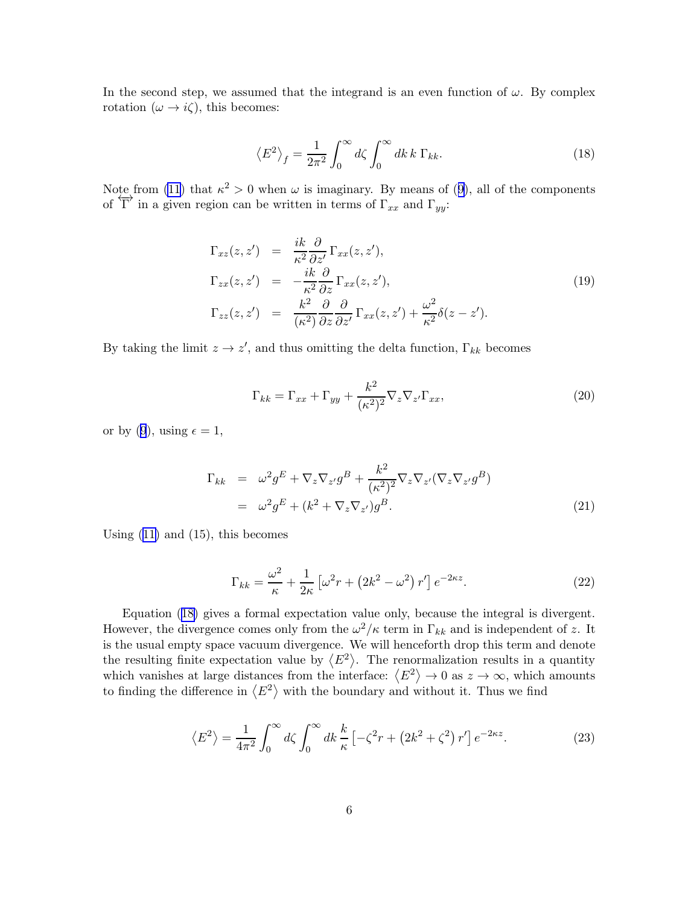<span id="page-5-0"></span>In the second step, we assumed that the integrand is an even function of  $\omega$ . By complex rotation  $(\omega \to i\zeta)$ , this becomes:

$$
\left\langle E^2 \right\rangle_f = \frac{1}{2\pi^2} \int_0^\infty d\zeta \int_0^\infty dk \, k \, \Gamma_{kk}.\tag{18}
$$

Note from [\(11\)](#page-3-0)that  $\kappa^2 > 0$  when  $\omega$  is imaginary. By means of ([9\)](#page-2-0), all of the components of  $\overleftrightarrow{\Gamma}$  in a given region can be written in terms of  $\Gamma_{xx}$  and  $\Gamma_{yy}$ :

$$
\Gamma_{xz}(z, z') = \frac{ik}{\kappa^2} \frac{\partial}{\partial z'} \Gamma_{xx}(z, z'),
$$
\n
$$
\Gamma_{zx}(z, z') = -\frac{ik}{\kappa^2} \frac{\partial}{\partial z} \Gamma_{xx}(z, z'),
$$
\n
$$
\Gamma_{zz}(z, z') = \frac{k^2}{(\kappa^2)} \frac{\partial}{\partial z} \frac{\partial}{\partial z'} \Gamma_{xx}(z, z') + \frac{\omega^2}{\kappa^2} \delta(z - z').
$$
\n(19)

By taking the limit  $z \to z'$ , and thus omitting the delta function,  $\Gamma_{kk}$  becomes

$$
\Gamma_{kk} = \Gamma_{xx} + \Gamma_{yy} + \frac{k^2}{(\kappa^2)^2} \nabla_z \nabla_{z'} \Gamma_{xx},
$$
\n(20)

orby ([9](#page-2-0)), using  $\epsilon = 1$ ,

$$
\Gamma_{kk} = \omega^2 g^E + \nabla_z \nabla_{z'} g^B + \frac{k^2}{(\kappa^2)^2} \nabla_z \nabla_{z'} (\nabla_z \nabla_{z'} g^B)
$$
  
=  $\omega^2 g^E + (k^2 + \nabla_z \nabla_{z'}) g^B.$  (21)

Using  $(11)$  and  $(15)$ , this becomes

$$
\Gamma_{kk} = \frac{\omega^2}{\kappa} + \frac{1}{2\kappa} \left[ \omega^2 r + \left( 2k^2 - \omega^2 \right) r' \right] e^{-2\kappa z}.
$$
\n(22)

Equation (18) gives a formal expectation value only, because the integral is divergent. However, the divergence comes only from the  $\omega^2/\kappa$  term in  $\Gamma_{kk}$  and is independent of z. It is the usual empty space vacuum divergence. We will henceforth drop this term and denote the resulting finite expectation value by  $\langle E^2 \rangle$ . The renormalization results in a quantity which vanishes at large distances from the interface:  $\langle E^2 \rangle \to 0$  as  $z \to \infty$ , which amounts to finding the difference in  $\langle E^2 \rangle$  with the boundary and without it. Thus we find

$$
\langle E^2 \rangle = \frac{1}{4\pi^2} \int_0^\infty d\zeta \int_0^\infty dk \, \frac{k}{\kappa} \left[ -\zeta^2 r + \left(2k^2 + \zeta^2\right) r'\right] e^{-2\kappa z}.\tag{23}
$$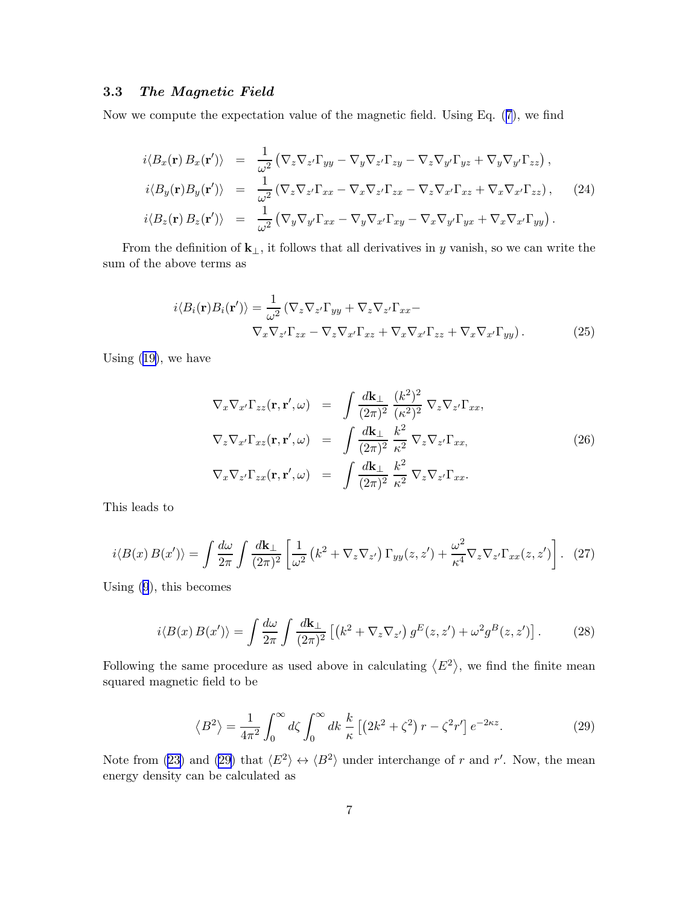### <span id="page-6-0"></span>3.3 The Magnetic Field

Now we compute the expectation value of the magnetic field. Using Eq.([7](#page-2-0)), we find

$$
i\langle B_x(\mathbf{r}) B_x(\mathbf{r}')\rangle = \frac{1}{\omega^2} \left( \nabla_z \nabla_{z'} \Gamma_{yy} - \nabla_y \nabla_{z'} \Gamma_{zy} - \nabla_z \nabla_{y'} \Gamma_{yz} + \nabla_y \nabla_{y'} \Gamma_{zz} \right),
$$
  
\n
$$
i\langle B_y(\mathbf{r}) B_y(\mathbf{r}')\rangle = \frac{1}{\omega^2} \left( \nabla_z \nabla_{z'} \Gamma_{xx} - \nabla_x \nabla_{z'} \Gamma_{zx} - \nabla_z \nabla_{x'} \Gamma_{xz} + \nabla_x \nabla_{x'} \Gamma_{zz} \right),
$$
 (24)  
\n
$$
i\langle B_z(\mathbf{r}) B_z(\mathbf{r}')\rangle = \frac{1}{\omega^2} \left( \nabla_y \nabla_{y'} \Gamma_{xx} - \nabla_y \nabla_{x'} \Gamma_{xy} - \nabla_x \nabla_{y'} \Gamma_{yx} + \nabla_x \nabla_{x'} \Gamma_{yy} \right).
$$

From the definition of  $\mathbf{k}_{\perp}$ , it follows that all derivatives in y vanish, so we can write the sum of the above terms as

$$
i\langle B_i(\mathbf{r})B_i(\mathbf{r}')\rangle = \frac{1}{\omega^2} \left(\nabla_z \nabla_{z'} \Gamma_{yy} + \nabla_z \nabla_{z'} \Gamma_{xx} - \nabla_x \nabla_{z'} \Gamma_{zx} + \nabla_x \nabla_{x'} \Gamma_{zz} + \nabla_x \nabla_{x'} \Gamma_{yy}\right).
$$
(25)

Using [\(19\)](#page-5-0), we have

$$
\nabla_x \nabla_{x'} \Gamma_{zz}(\mathbf{r}, \mathbf{r}', \omega) = \int \frac{d\mathbf{k}_\perp}{(2\pi)^2} \frac{(k^2)^2}{(\kappa^2)^2} \nabla_z \nabla_{z'} \Gamma_{xx},
$$
  
\n
$$
\nabla_z \nabla_{x'} \Gamma_{xz}(\mathbf{r}, \mathbf{r}', \omega) = \int \frac{d\mathbf{k}_\perp}{(2\pi)^2} \frac{k^2}{\kappa^2} \nabla_z \nabla_{z'} \Gamma_{xx},
$$
  
\n
$$
\nabla_x \nabla_{z'} \Gamma_{zx}(\mathbf{r}, \mathbf{r}', \omega) = \int \frac{d\mathbf{k}_\perp}{(2\pi)^2} \frac{k^2}{\kappa^2} \nabla_z \nabla_{z'} \Gamma_{xx}.
$$
\n(26)

This leads to

$$
i\langle B(x) B(x')\rangle = \int \frac{d\omega}{2\pi} \int \frac{d\mathbf{k}_{\perp}}{(2\pi)^2} \left[ \frac{1}{\omega^2} \left( k^2 + \nabla_z \nabla_{z'} \right) \Gamma_{yy}(z, z') + \frac{\omega^2}{\kappa^4} \nabla_z \nabla_{z'} \Gamma_{xx}(z, z') \right]. \tag{27}
$$

Using [\(9](#page-2-0)), this becomes

$$
i\langle B(x) B(x')\rangle = \int \frac{d\omega}{2\pi} \int \frac{d\mathbf{k}_{\perp}}{(2\pi)^2} \left[ \left(k^2 + \nabla_z \nabla_{z'}\right) g^E(z, z') + \omega^2 g^B(z, z') \right]. \tag{28}
$$

Following the same procedure as used above in calculating  $\langle E^2 \rangle$ , we find the finite mean squared magnetic field to be

$$
\langle B^2 \rangle = \frac{1}{4\pi^2} \int_0^\infty d\zeta \int_0^\infty dk \frac{k}{\kappa} \left[ \left( 2k^2 + \zeta^2 \right) r - \zeta^2 r' \right] e^{-2\kappa z}.
$$
 (29)

Notefrom ([23\)](#page-5-0) and (29) that  $\langle E^2 \rangle \leftrightarrow \langle B^2 \rangle$  under interchange of r and r'. Now, the mean energy density can be calculated as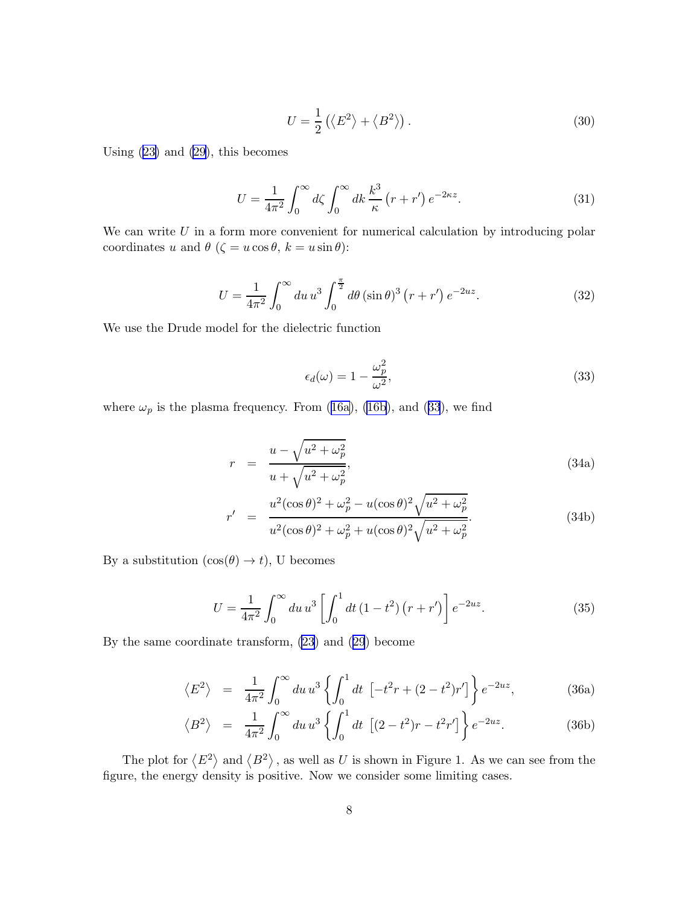$$
U = \frac{1}{2} \left( \langle E^2 \rangle + \langle B^2 \rangle \right). \tag{30}
$$

<span id="page-7-0"></span>Using [\(23\)](#page-5-0) and [\(29](#page-6-0)), this becomes

$$
U = \frac{1}{4\pi^2} \int_0^\infty d\zeta \int_0^\infty dk \, \frac{k^3}{\kappa} \left( r + r' \right) e^{-2\kappa z}.\tag{31}
$$

We can write  $U$  in a form more convenient for numerical calculation by introducing polar coordinates u and  $\theta$  ( $\zeta = u \cos \theta$ ,  $k = u \sin \theta$ ):

$$
U = \frac{1}{4\pi^2} \int_0^\infty du \, u^3 \int_0^{\frac{\pi}{2}} d\theta \, (\sin \theta)^3 \left( r + r' \right) e^{-2uz} . \tag{32}
$$

We use the Drude model for the dielectric function

$$
\epsilon_d(\omega) = 1 - \frac{\omega_p^2}{\omega^2},\tag{33}
$$

where $\omega_p$  is the plasma frequency. From ([16a\)](#page-4-0), [\(16b](#page-4-0)), and (33), we find

$$
r = \frac{u - \sqrt{u^2 + \omega_p^2}}{u + \sqrt{u^2 + \omega_p^2}},
$$
\n(34a)

$$
r' = \frac{u^2(\cos\theta)^2 + \omega_p^2 - u(\cos\theta)^2 \sqrt{u^2 + \omega_p^2}}{u^2(\cos\theta)^2 + \omega_p^2 + u(\cos\theta)^2 \sqrt{u^2 + \omega_p^2}}.
$$
 (34b)

By a substitution  $(\cos(\theta) \to t)$ , U becomes

$$
U = \frac{1}{4\pi^2} \int_0^\infty du \, u^3 \left[ \int_0^1 dt \left( 1 - t^2 \right) \left( r + r' \right) \right] e^{-2uz}.
$$
 (35)

By the same coordinate transform, [\(23](#page-5-0)) and([29](#page-6-0)) become

$$
\langle E^2 \rangle = \frac{1}{4\pi^2} \int_0^\infty du \, u^3 \left\{ \int_0^1 dt \, \left[ -t^2 r + (2 - t^2) r' \right] \right\} e^{-2uz}, \tag{36a}
$$

$$
\langle B^2 \rangle = \frac{1}{4\pi^2} \int_0^\infty du \, u^3 \left\{ \int_0^1 dt \, \left[ (2 - t^2) r - t^2 r' \right] \right\} e^{-2uz} . \tag{36b}
$$

The plot for  $\langle E^2 \rangle$  and  $\langle B^2 \rangle$ , as well as U is shown in Figure 1. As we can see from the figure, the energy density is positive. Now we consider some limiting cases.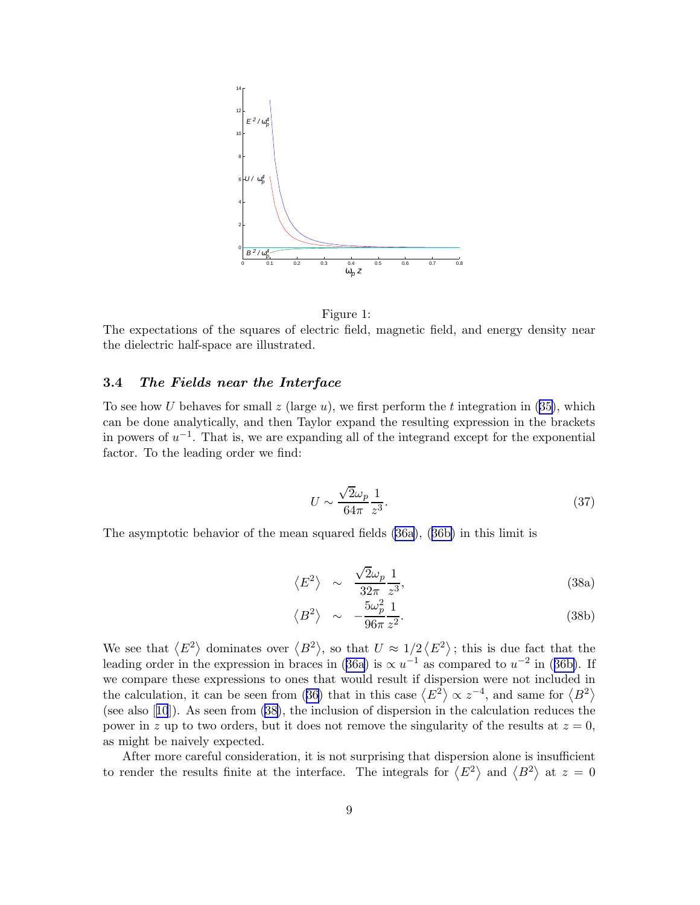<span id="page-8-0"></span>

Figure 1:

The expectations of the squares of electric field, magnetic field, and energy density near the dielectric half-space are illustrated.

#### 3.4 The Fields near the Interface

Tosee how U behaves for small z (large u), we first perform the t integration in  $(35)$  $(35)$ , which can be done analytically, and then Taylor expand the resulting expression in the brackets in powers of  $u^{-1}$ . That is, we are expanding all of the integrand except for the exponential factor. To the leading order we find:

$$
U \sim \frac{\sqrt{2}\omega_p}{64\pi} \frac{1}{z^3}.\tag{37}
$$

The asymptotic behavior of the mean squared fields [\(36a](#page-7-0)),([36b\)](#page-7-0) in this limit is

$$
\langle E^2 \rangle \sim \frac{\sqrt{2}\omega_p}{32\pi} \frac{1}{z^3},\tag{38a}
$$

$$
\langle B^2 \rangle \sim -\frac{5\omega_p^2}{96\pi} \frac{1}{z^2}.
$$
 (38b)

We see that  $\langle E^2 \rangle$  dominates over  $\langle B^2 \rangle$ , so that  $U \approx 1/2 \langle E^2 \rangle$ ; this is due fact that the leadingorder in the expression in braces in ([36a\)](#page-7-0) is  $\propto u^{-1}$  as compared to  $u^{-2}$  in ([36b\)](#page-7-0). If we compare these expressions to ones that would result if dispersion were not included in thecalculation, it can be seen from ([36\)](#page-7-0) that in this case  $\langle E^2 \rangle \propto z^{-4}$ , and same for  $\langle B^2 \rangle$ (see also[[10](#page-15-0)]). As seen from (38), the inclusion of dispersion in the calculation reduces the power in z up to two orders, but it does not remove the singularity of the results at  $z = 0$ , as might be naively expected.

After more careful consideration, it is not surprising that dispersion alone is insufficient to render the results finite at the interface. The integrals for  $\langle E^2 \rangle$  and  $\langle B^2 \rangle$  at  $z = 0$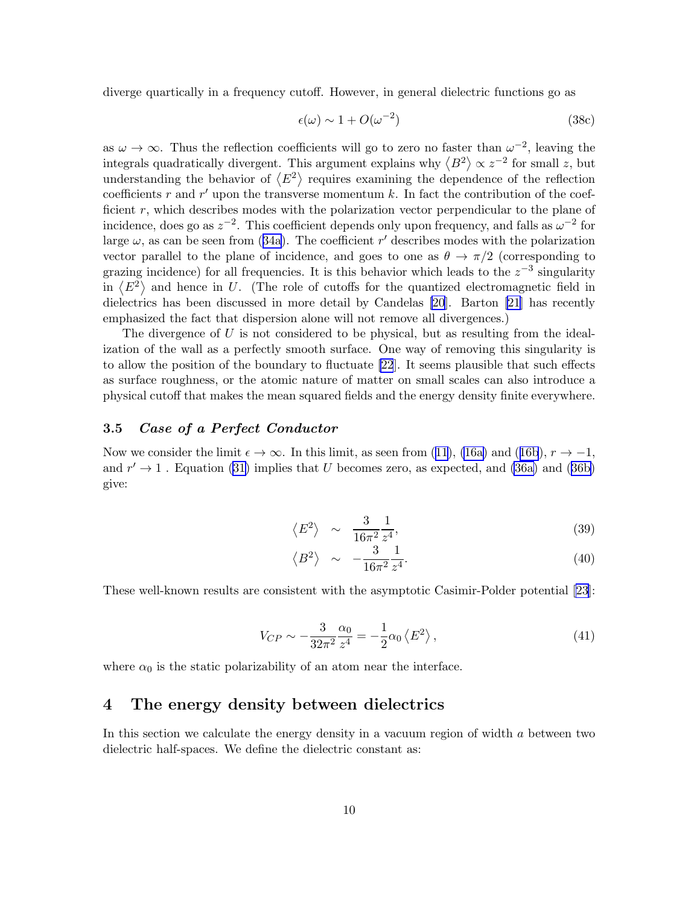<span id="page-9-0"></span>diverge quartically in a frequency cutoff. However, in general dielectric functions go as

$$
\epsilon(\omega) \sim 1 + O(\omega^{-2}) \tag{38c}
$$

as  $\omega \to \infty$ . Thus the reflection coefficients will go to zero no faster than  $\omega^{-2}$ , leaving the integrals quadratically divergent. This argument explains why  $\langle B^2 \rangle \propto z^{-2}$  for small z, but understanding the behavior of  $\langle E^2 \rangle$  requires examining the dependence of the reflection coefficients r and r' upon the transverse momentum  $k$ . In fact the contribution of the coefficient  $r$ , which describes modes with the polarization vector perpendicular to the plane of incidence, does go as  $z^{-2}$ . This coefficient depends only upon frequency, and falls as  $\omega^{-2}$  for large $\omega$ , as can be seen from ([34a](#page-7-0)). The coefficient r' describes modes with the polarization vector parallel to the plane of incidence, and goes to one as  $\theta \to \pi/2$  (corresponding to grazing incidence) for all frequencies. It is this behavior which leads to the  $z^{-3}$  singularity in  $\langle E^2 \rangle$  and hence in U. (The role of cutoffs for the quantized electromagnetic field in dielectrics has been discussed in more detail by Candelas [\[20](#page-16-0)]. Barton [\[21](#page-16-0)] has recently emphasized the fact that dispersion alone will not remove all divergences.)

The divergence of  $U$  is not considered to be physical, but as resulting from the idealization of the wall as a perfectly smooth surface. One way of removing this singularity is to allow the position of the boundary to fluctuate [\[22](#page-16-0)]. It seems plausible that such effects as surface roughness, or the atomic nature of matter on small scales can also introduce a physical cutoff that makes the mean squared fields and the energy density finite everywhere.

### 3.5 Case of a Perfect Conductor

Nowwe consider the limit  $\epsilon \to \infty$ . In this limit, as seen from [\(11\)](#page-3-0), [\(16a\)](#page-4-0) and ([16b](#page-4-0)),  $r \to -1$ , and $r' \rightarrow 1$ . Equation ([31\)](#page-7-0) implies that U becomes zero, as expected, and [\(36a\)](#page-7-0) and ([36b\)](#page-7-0) give:

$$
\left\langle E^2 \right\rangle \sim \frac{3}{16\pi^2} \frac{1}{z^4},\tag{39}
$$

$$
\langle B^2 \rangle \sim -\frac{3}{16\pi^2} \frac{1}{z^4}.\tag{40}
$$

These well-known results are consistent with the asymptotic Casimir-Polder potential [\[23\]](#page-16-0):

$$
V_{CP} \sim -\frac{3}{32\pi^2} \frac{\alpha_0}{z^4} = -\frac{1}{2} \alpha_0 \left\langle E^2 \right\rangle,\tag{41}
$$

where  $\alpha_0$  is the static polarizability of an atom near the interface.

### 4 The energy density between dielectrics

In this section we calculate the energy density in a vacuum region of width a between two dielectric half-spaces. We define the dielectric constant as: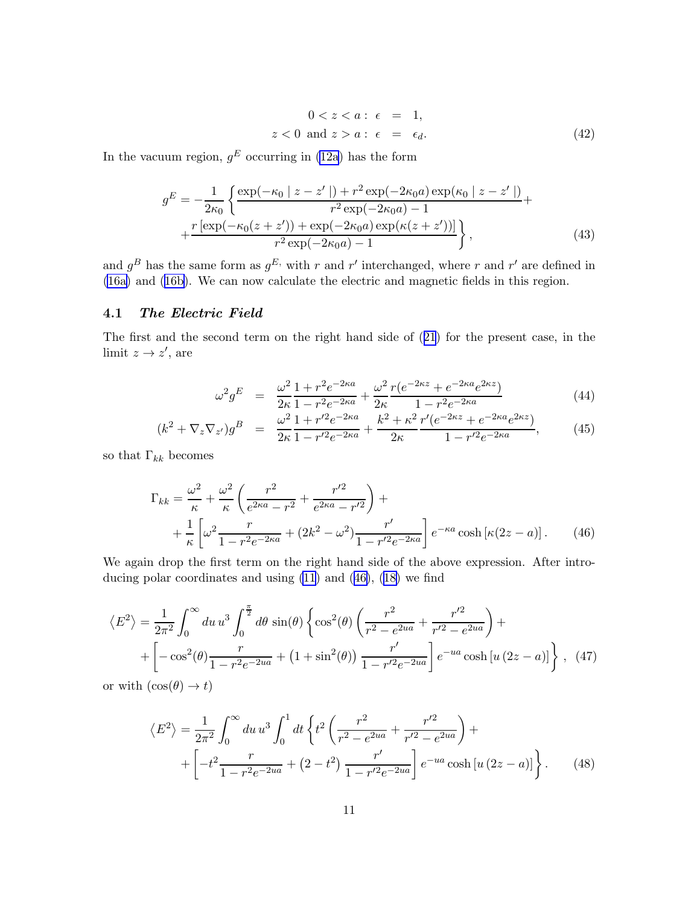$$
0 < z < a: \epsilon = 1,
$$
\n
$$
z < 0 \text{ and } z > a: \epsilon = \epsilon_d.
$$
\n
$$
(42)
$$

<span id="page-10-0"></span>In the vacuum region,  $g^E$  occurring in [\(12a](#page-3-0)) has the form

$$
g^{E} = -\frac{1}{2\kappa_{0}} \left\{ \frac{\exp(-\kappa_{0} | z - z' |) + r^{2} \exp(-2\kappa_{0} a) \exp(\kappa_{0} | z - z' |)}{r^{2} \exp(-2\kappa_{0} a) - 1} + \frac{r [\exp(-\kappa_{0} (z + z')) + \exp(-2\kappa_{0} a) \exp(\kappa(z + z'))]}{r^{2} \exp(-2\kappa_{0} a) - 1} \right\},
$$
\n(43)

and  $g^B$  has the same form as  $g^E$ , with r and r' interchanged, where r and r' are defined in [\(16a\)](#page-4-0) and [\(16b\)](#page-4-0). We can now calculate the electric and magnetic fields in this region.

#### 4.1 The Electric Field

The first and the second term on the right hand side of([21](#page-5-0)) for the present case, in the limit  $z \to z'$ , are

$$
\omega^2 g^E = \frac{\omega^2}{2\kappa} \frac{1 + r^2 e^{-2\kappa a}}{1 - r^2 e^{-2\kappa a}} + \frac{\omega^2}{2\kappa} \frac{r(e^{-2\kappa z} + e^{-2\kappa a} e^{2\kappa z})}{1 - r^2 e^{-2\kappa a}} \tag{44}
$$

$$
(k^2 + \nabla_z \nabla_{z'})g^B = \frac{\omega^2}{2\kappa} \frac{1 + r'^2 e^{-2\kappa a}}{1 - r'^2 e^{-2\kappa a}} + \frac{k^2 + \kappa^2}{2\kappa} \frac{r'(e^{-2\kappa z} + e^{-2\kappa a}e^{2\kappa z})}{1 - r'^2 e^{-2\kappa a}},
$$
(45)

so that  $\Gamma_{kk}$  becomes

$$
\Gamma_{kk} = \frac{\omega^2}{\kappa} + \frac{\omega^2}{\kappa} \left( \frac{r^2}{e^{2\kappa a} - r^2} + \frac{r'^2}{e^{2\kappa a} - r'^2} \right) + \n+ \frac{1}{\kappa} \left[ \omega^2 \frac{r}{1 - r^2 e^{-2\kappa a}} + (2k^2 - \omega^2) \frac{r'}{1 - r'^2 e^{-2\kappa a}} \right] e^{-\kappa a} \cosh\left[\kappa(2z - a)\right].
$$
\n(46)

We again drop the first term on the right hand side of the above expression. After introducing polar coordinates and using [\(11](#page-3-0)) and (46),([18\)](#page-5-0) we find

$$
\langle E^2 \rangle = \frac{1}{2\pi^2} \int_0^\infty du \, u^3 \int_0^{\frac{\pi}{2}} d\theta \, \sin(\theta) \left\{ \cos^2(\theta) \left( \frac{r^2}{r^2 - e^{2ua}} + \frac{r'^2}{r'^2 - e^{2ua}} \right) + \right. \\ \left. + \left[ -\cos^2(\theta) \frac{r}{1 - r^2 e^{-2ua}} + (1 + \sin^2(\theta)) \frac{r'}{1 - r'^2 e^{-2ua}} \right] e^{-ua} \cosh[u(2z - a)] \right\} \,, \tag{47}
$$

or with  $(\cos(\theta) \rightarrow t)$ 

$$
\langle E^2 \rangle = \frac{1}{2\pi^2} \int_0^\infty du \, u^3 \int_0^1 dt \left\{ t^2 \left( \frac{r^2}{r^2 - e^{2ua}} + \frac{r'^2}{r'^2 - e^{2ua}} \right) + \left[ -t^2 \frac{r}{1 - r^2 e^{-2ua}} + (2 - t^2) \frac{r'}{1 - r'^2 e^{-2ua}} \right] e^{-ua} \cosh\left[ u \left( 2z - a \right) \right] \right\}.
$$
 (48)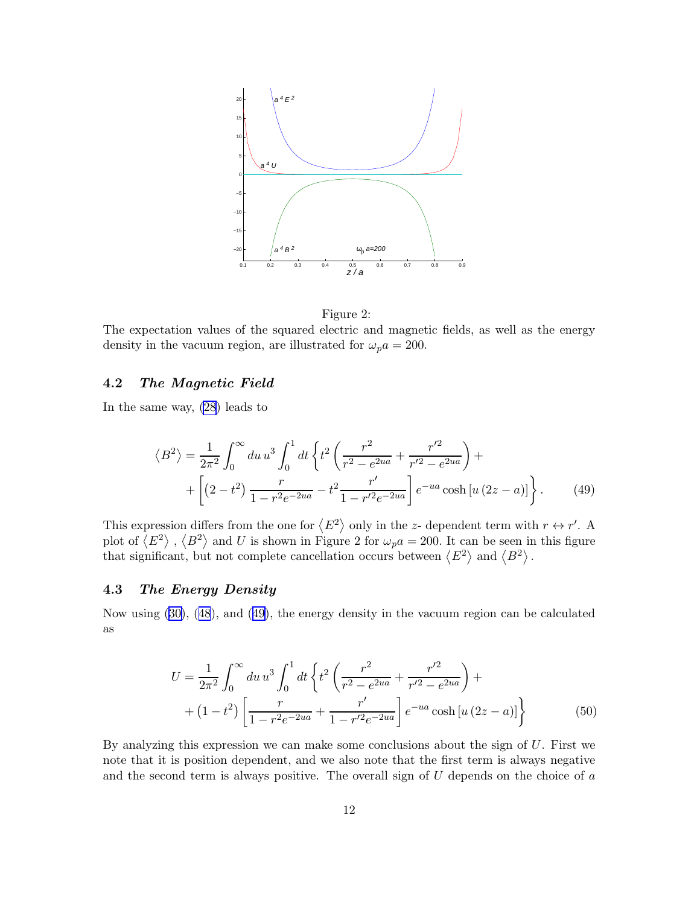<span id="page-11-0"></span>

Figure 2:

The expectation values of the squared electric and magnetic fields, as well as the energy density in the vacuum region, are illustrated for  $\omega_p a = 200$ .

#### 4.2 The Magnetic Field

In the same way, [\(28](#page-6-0)) leads to

$$
\langle B^2 \rangle = \frac{1}{2\pi^2} \int_0^\infty du \, u^3 \int_0^1 dt \left\{ t^2 \left( \frac{r^2}{r^2 - e^{2ua}} + \frac{r'^2}{r'^2 - e^{2ua}} \right) + \right. \\
\left. + \left[ \left( 2 - t^2 \right) \frac{r}{1 - r^2 e^{-2ua}} - t^2 \frac{r'}{1 - r'^2 e^{-2ua}} \right] e^{-ua} \cosh\left[ u \left( 2z - a \right) \right] \right\}.
$$
\n(49)

This expression differs from the one for  $\langle E^2 \rangle$  only in the z- dependent term with  $r \leftrightarrow r'$ . A plot of  $\langle E^2 \rangle$ ,  $\langle B^2 \rangle$  and U is shown in Figure 2 for  $\omega_p a = 200$ . It can be seen in this figure that significant, but not complete cancellation occurs between  $\langle E^2 \rangle$  and  $\langle B^2 \rangle$ .

#### 4.3 The Energy Density

Now using([30\)](#page-7-0),([48](#page-10-0)), and (49), the energy density in the vacuum region can be calculated as

$$
U = \frac{1}{2\pi^2} \int_0^\infty du \, u^3 \int_0^1 dt \left\{ t^2 \left( \frac{r^2}{r^2 - e^{2ua}} + \frac{r'^2}{r'^2 - e^{2ua}} \right) + \right. \\
\left. + (1 - t^2) \left[ \frac{r}{1 - r^2 e^{-2ua}} + \frac{r'}{1 - r'^2 e^{-2ua}} \right] e^{-ua} \cosh\left[u\left(2z - a\right)\right] \right\} \tag{50}
$$

By analyzing this expression we can make some conclusions about the sign of U. First we note that it is position dependent, and we also note that the first term is always negative and the second term is always positive. The overall sign of  $U$  depends on the choice of  $a$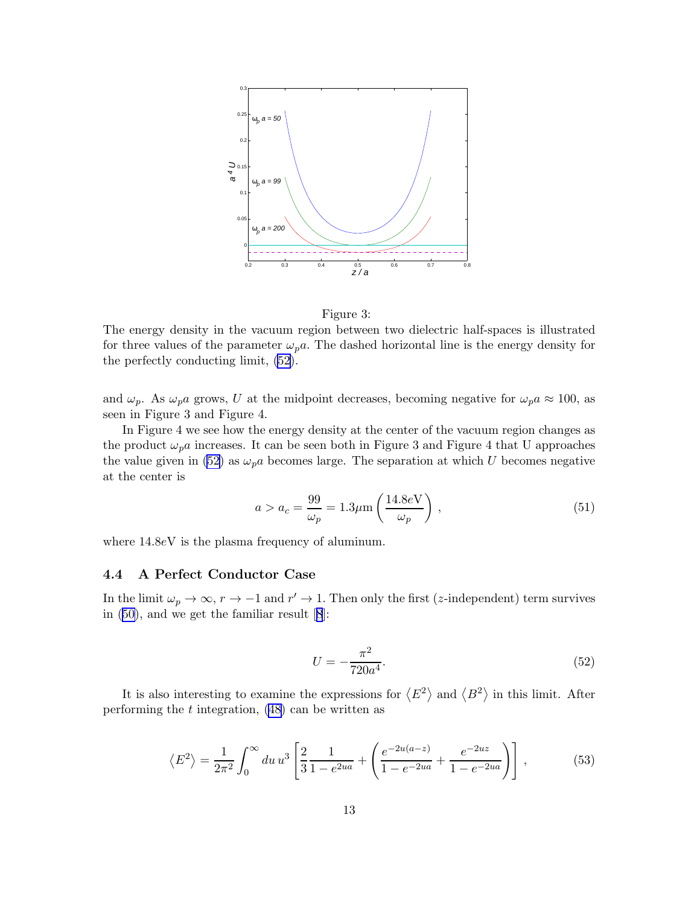

Figure 3:

The energy density in the vacuum region between two dielectric half-spaces is illustrated for three values of the parameter  $\omega_p a$ . The dashed horizontal line is the energy density for the perfectly conducting limit, (52).

and  $\omega_p$ . As  $\omega_p a$  grows, U at the midpoint decreases, becoming negative for  $\omega_p a \approx 100$ , as seen in Figure 3 and Figure 4.

In Figure 4 we see how the energy density at the center of the vacuum region changes as the product  $\omega_p a$  increases. It can be seen both in Figure 3 and Figure 4 that U approaches the value given in (52) as  $\omega_p a$  becomes large. The separation at which U becomes negative at the center is

$$
a > a_c = \frac{99}{\omega_p} = 1.3 \mu \text{m} \left( \frac{14.8 e \text{V}}{\omega_p} \right),\tag{51}
$$

where  $14.8eV$  is the plasma frequency of aluminum.

#### 4.4 A Perfect Conductor Case

In the limit  $\omega_p \to \infty$ ,  $r \to -1$  and  $r' \to 1$ . Then only the first (z-independent) term survives in [\(50\)](#page-11-0), and we get the familiar result[[8](#page-15-0)]:

$$
U = -\frac{\pi^2}{720a^4}.\tag{52}
$$

It is also interesting to examine the expressions for  $\langle E^2 \rangle$  and  $\langle B^2 \rangle$  in this limit. After performing the  $t$  integration,  $(48)$  can be written as

$$
\langle E^2 \rangle = \frac{1}{2\pi^2} \int_0^\infty du \, u^3 \left[ \frac{2}{3} \frac{1}{1 - e^{2ua}} + \left( \frac{e^{-2u(a-z)}}{1 - e^{-2ua}} + \frac{e^{-2uz}}{1 - e^{-2ua}} \right) \right],\tag{53}
$$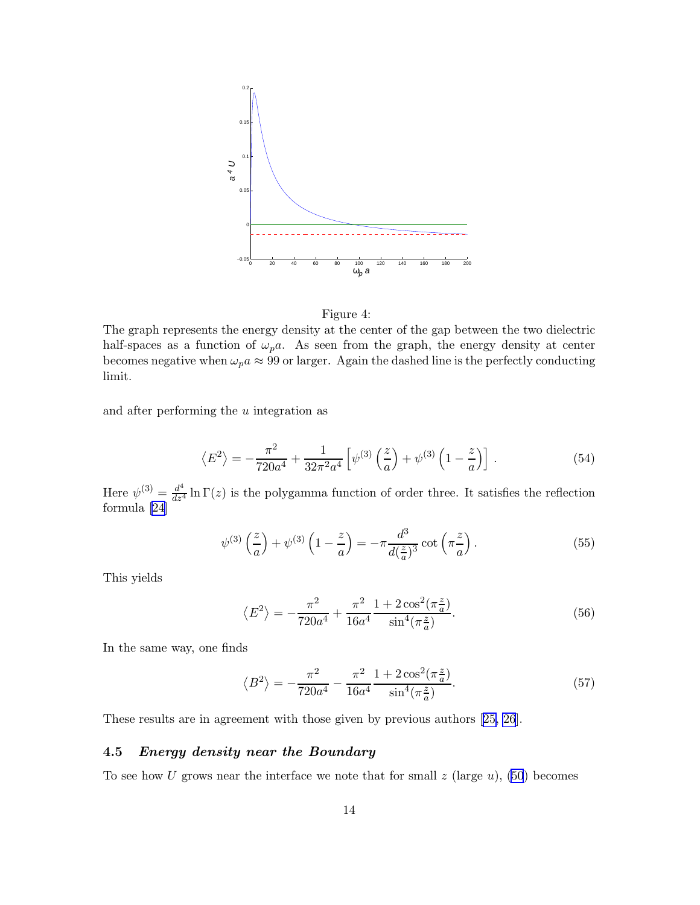

Figure 4:

The graph represents the energy density at the center of the gap between the two dielectric half-spaces as a function of  $\omega_p a$ . As seen from the graph, the energy density at center becomes negative when  $\omega_p a \approx 99$  or larger. Again the dashed line is the perfectly conducting limit.

and after performing the u integration as

$$
\langle E^2 \rangle = -\frac{\pi^2}{720a^4} + \frac{1}{32\pi^2 a^4} \left[ \psi^{(3)}\left(\frac{z}{a}\right) + \psi^{(3)}\left(1 - \frac{z}{a}\right) \right]. \tag{54}
$$

Here  $\psi^{(3)} = \frac{d^4}{dz^4} \ln \Gamma(z)$  is the polygamma function of order three. It satisfies the reflection formula [\[24](#page-16-0)]

$$
\psi^{(3)}\left(\frac{z}{a}\right) + \psi^{(3)}\left(1 - \frac{z}{a}\right) = -\pi \frac{d^3}{d(\frac{z}{a})^3} \cot\left(\pi \frac{z}{a}\right). \tag{55}
$$

This yields

$$
\left\langle E^{2} \right\rangle = -\frac{\pi^{2}}{720a^{4}} + \frac{\pi^{2}}{16a^{4}} \frac{1 + 2\cos^{2}(\pi \frac{z}{a})}{\sin^{4}(\pi \frac{z}{a})}.
$$
\n(56)

In the same way, one finds

$$
\langle B^2 \rangle = -\frac{\pi^2}{720a^4} - \frac{\pi^2}{16a^4} \frac{1 + 2\cos^2(\pi \frac{z}{a})}{\sin^4(\pi \frac{z}{a})}.
$$
 (57)

These results are in agreement with those given by previous authors[[25, 26](#page-16-0)].

#### 4.5 Energy density near the Boundary

To see how U grows near the interface we note that for small  $z$  (large  $u$ ), [\(50](#page-11-0)) becomes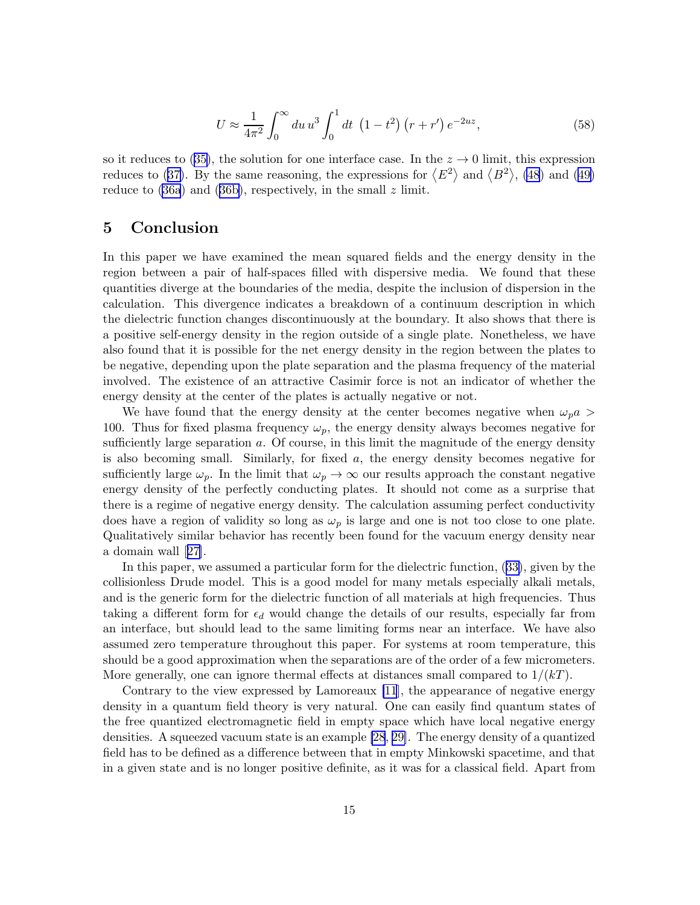$$
U \approx \frac{1}{4\pi^2} \int_0^\infty du \, u^3 \int_0^1 dt \, (1 - t^2) \left( r + r' \right) e^{-2uz},\tag{58}
$$

<span id="page-14-0"></span>soit reduces to ([35\)](#page-7-0), the solution for one interface case. In the  $z \to 0$  limit, this expression reducesto ([37\)](#page-8-0). By the same reasoning, the expressions for  $\langle E^2 \rangle$  and  $\langle B^2 \rangle$ , [\(48](#page-10-0)) and ([49\)](#page-11-0) reduce to  $(36a)$  and  $(36b)$ , respectively, in the small z limit.

### 5 Conclusion

In this paper we have examined the mean squared fields and the energy density in the region between a pair of half-spaces filled with dispersive media. We found that these quantities diverge at the boundaries of the media, despite the inclusion of dispersion in the calculation. This divergence indicates a breakdown of a continuum description in which the dielectric function changes discontinuously at the boundary. It also shows that there is a positive self-energy density in the region outside of a single plate. Nonetheless, we have also found that it is possible for the net energy density in the region between the plates to be negative, depending upon the plate separation and the plasma frequency of the material involved. The existence of an attractive Casimir force is not an indicator of whether the energy density at the center of the plates is actually negative or not.

We have found that the energy density at the center becomes negative when  $\omega_p a >$ 100. Thus for fixed plasma frequency  $\omega_p$ , the energy density always becomes negative for sufficiently large separation  $a$ . Of course, in this limit the magnitude of the energy density is also becoming small. Similarly, for fixed  $a$ , the energy density becomes negative for sufficiently large  $\omega_p$ . In the limit that  $\omega_p \to \infty$  our results approach the constant negative energy density of the perfectly conducting plates. It should not come as a surprise that there is a regime of negative energy density. The calculation assuming perfect conductivity does have a region of validity so long as  $\omega_p$  is large and one is not too close to one plate. Qualitatively similar behavior has recently been found for the vacuum energy density near a domain wall[[27\]](#page-16-0).

In this paper, we assumed a particular form for the dielectric function,([33\)](#page-7-0), given by the collisionless Drude model. This is a good model for many metals especially alkali metals, and is the generic form for the dielectric function of all materials at high frequencies. Thus taking a different form for  $\epsilon_d$  would change the details of our results, especially far from an interface, but should lead to the same limiting forms near an interface. We have also assumed zero temperature throughout this paper. For systems at room temperature, this should be a good approximation when the separations are of the order of a few micrometers. More generally, one can ignore thermal effects at distances small compared to  $1/(kT)$ .

Contrary to the view expressed by Lamoreaux [\[11](#page-15-0)], the appearance of negative energy density in a quantum field theory is very natural. One can easily find quantum states of the free quantized electromagnetic field in empty space which have local negative energy densities. A squeezed vacuum state is an example [\[28](#page-16-0), [29\]](#page-16-0). The energy density of a quantized field has to be defined as a difference between that in empty Minkowski spacetime, and that in a given state and is no longer positive definite, as it was for a classical field. Apart from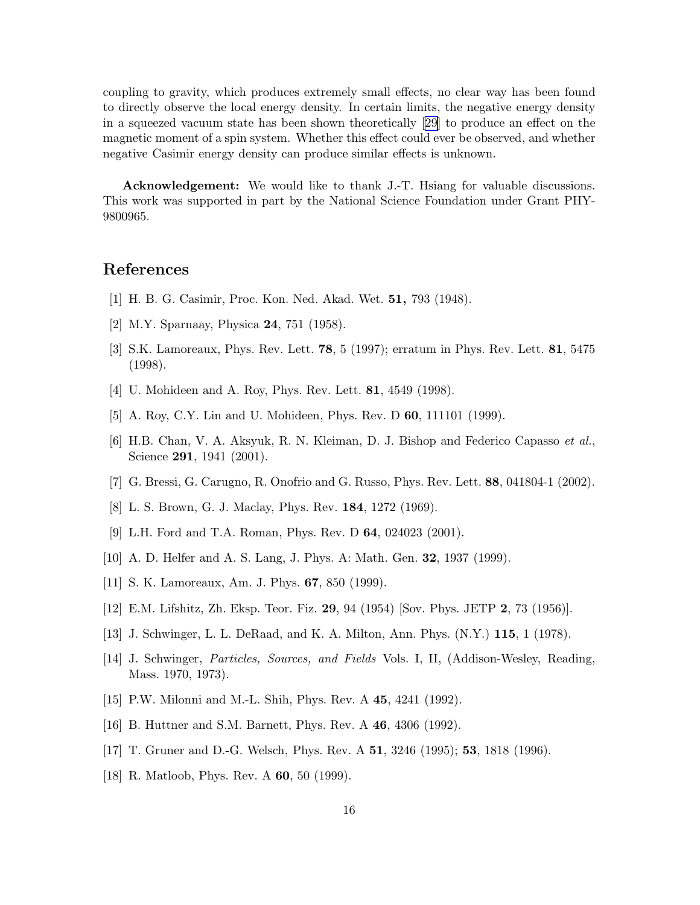<span id="page-15-0"></span>coupling to gravity, which produces extremely small effects, no clear way has been found to directly observe the local energy density. In certain limits, the negative energy density in a squeezed vacuum state has been shown theoretically[[29\]](#page-16-0) to produce an effect on the magnetic moment of a spin system. Whether this effect could ever be observed, and whether negative Casimir energy density can produce similar effects is unknown.

Acknowledgement: We would like to thank J.-T. Hsiang for valuable discussions. This work was supported in part by the National Science Foundation under Grant PHY-9800965.

### References

- [1] H. B. G. Casimir, Proc. Kon. Ned. Akad. Wet. 51, 793 (1948).
- [2] M.Y. Sparnaay, Physica 24, 751 (1958).
- [3] S.K. Lamoreaux, Phys. Rev. Lett. 78, 5 (1997); erratum in Phys. Rev. Lett. 81, 5475 (1998).
- [4] U. Mohideen and A. Roy, Phys. Rev. Lett. 81, 4549 (1998).
- [5] A. Roy, C.Y. Lin and U. Mohideen, Phys. Rev. D 60, 111101 (1999).
- [6] H.B. Chan, V. A. Aksyuk, R. N. Kleiman, D. J. Bishop and Federico Capasso et al., Science **291**, 1941 (2001).
- [7] G. Bressi, G. Carugno, R. Onofrio and G. Russo, Phys. Rev. Lett. 88, 041804-1 (2002).
- [8] L. S. Brown, G. J. Maclay, Phys. Rev. 184, 1272 (1969).
- [9] L.H. Ford and T.A. Roman, Phys. Rev. D 64, 024023 (2001).
- [10] A. D. Helfer and A. S. Lang, J. Phys. A: Math. Gen. 32, 1937 (1999).
- [11] S. K. Lamoreaux, Am. J. Phys. **67**, 850 (1999).
- [12] E.M. Lifshitz, Zh. Eksp. Teor. Fiz. 29, 94 (1954) [Sov. Phys. JETP 2, 73 (1956)].
- [13] J. Schwinger, L. L. DeRaad, and K. A. Milton, Ann. Phys. (N.Y.) 115, 1 (1978).
- [14] J. Schwinger, Particles, Sources, and Fields Vols. I, II, (Addison-Wesley, Reading, Mass. 1970, 1973).
- [15] P.W. Milonni and M.-L. Shih, Phys. Rev. A 45, 4241 (1992).
- [16] B. Huttner and S.M. Barnett, Phys. Rev. A 46, 4306 (1992).
- [17] T. Gruner and D.-G. Welsch, Phys. Rev. A 51, 3246 (1995); 53, 1818 (1996).
- [18] R. Matloob, Phys. Rev. A **60**, 50 (1999).